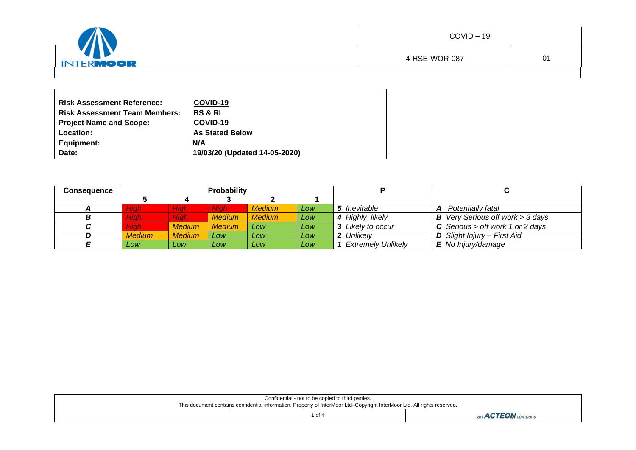| $\sqrt{N}$     | $COVID-19$    |    |
|----------------|---------------|----|
| w<br>INTERMOOR | 4-HSE-WOR-087 | 01 |
|                |               |    |

| <b>Risk Assessment Reference:</b>    | COVID-19                      |
|--------------------------------------|-------------------------------|
| <b>Risk Assessment Team Members:</b> | <b>BS &amp; RL</b>            |
| Project Name and Scope:              | COVID-19                      |
| Location:                            | <b>As Stated Below</b>        |
| Equipment:                           | N/A                           |
| Date:                                | 19/03/20 (Updated 14-05-2020) |

 $\blacksquare$ 

| <b>Consequence</b> |               |               | Probability   |               |     |                           |                                           |
|--------------------|---------------|---------------|---------------|---------------|-----|---------------------------|-------------------------------------------|
|                    |               |               |               |               |     |                           |                                           |
|                    | Hiah          | <b>High</b>   | Hiah          | <b>Medium</b> | Low | 5 Inevitable              | Potentially fatal<br>A                    |
|                    | Hiah          | High          | <b>Medium</b> | <b>Medium</b> | Low | 4 Highly likely           | <b>B</b> Very Serious off work $>$ 3 days |
|                    | Hiah          | <b>Medium</b> | <b>Medium</b> | <b>LOW</b>    | Low | 3 Likely to occur         | <b>C</b> Serious > off work 1 or 2 days   |
|                    | <b>Medium</b> | <b>Medium</b> | Low           | Low           | Low | 2 Unlikely                | <b>D</b> Slight Injury - First Aid        |
|                    | Low           | Low           | <b>Low</b>    | <b>LOW</b>    | Low | <b>Extremely Unlikely</b> | $E$ No Injury/damage                      |

| Confidential - not to be copied to third parties. |                                                                                                                          |  |  |  |  |  |  |
|---------------------------------------------------|--------------------------------------------------------------------------------------------------------------------------|--|--|--|--|--|--|
|                                                   | This document contains confidential information. Property of InterMoor Ltd-Copyright InterMoor Ltd. All rights reserved. |  |  |  |  |  |  |
|                                                   | of 4                                                                                                                     |  |  |  |  |  |  |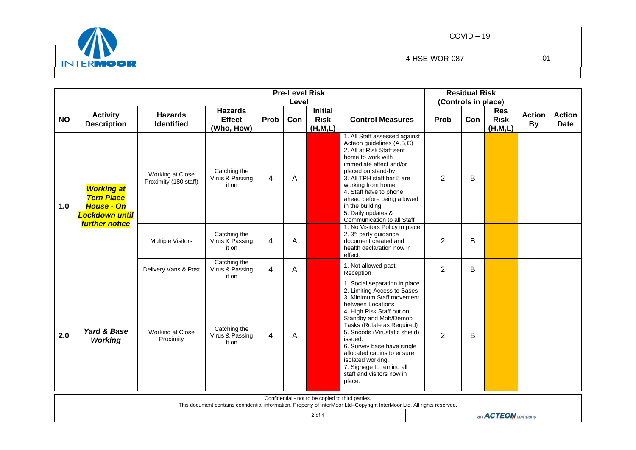

|           |                                                                                      |                                           |                                               |                | <b>Pre-Level Risk</b><br>Level |                                                   |                                                                                                                                                                                                                                                                                                                                                                                                    |                | <b>Residual Risk</b><br>(Controls in place) |                                        |                            |                              |
|-----------|--------------------------------------------------------------------------------------|-------------------------------------------|-----------------------------------------------|----------------|--------------------------------|---------------------------------------------------|----------------------------------------------------------------------------------------------------------------------------------------------------------------------------------------------------------------------------------------------------------------------------------------------------------------------------------------------------------------------------------------------------|----------------|---------------------------------------------|----------------------------------------|----------------------------|------------------------------|
| <b>NO</b> | <b>Activity</b><br><b>Description</b>                                                | <b>Hazards</b><br><b>Identified</b>       | <b>Hazards</b><br><b>Effect</b><br>(Who, How) | Prob           | Con                            | <b>Initial</b><br><b>Risk</b><br>(H, M, L)        | <b>Control Measures</b>                                                                                                                                                                                                                                                                                                                                                                            | Prob           | Con                                         | <b>Res</b><br><b>Risk</b><br>(H, M, L) | <b>Action</b><br><b>By</b> | <b>Action</b><br><b>Date</b> |
| 1.0       | <b>Working at</b><br><b>Tern Place</b><br><b>House - On</b><br><b>Lockdown until</b> | Working at Close<br>Proximity (180 staff) | Catching the<br>Virus & Passing<br>it on      | 4              | A                              |                                                   | 1. All Staff assessed against<br>Acteon guidelines (A,B,C)<br>2. All at Risk Staff sent<br>home to work with<br>immediate effect and/or<br>placed on stand-by.<br>3. All TPH staff bar 5 are<br>working from home.<br>4. Staff have to phone<br>ahead before being allowed<br>in the building.<br>5. Daily updates &<br>Communication to all Staff                                                 | $\overline{2}$ | B                                           |                                        |                            |                              |
|           | <b>further notice</b>                                                                | <b>Multiple Visitors</b>                  | Catching the<br>Virus & Passing<br>it on      | 4              | A                              |                                                   | 1. No Visitors Policy in place<br>2. 3 <sup>rd</sup> party guidance<br>document created and<br>health declaration now in<br>effect.                                                                                                                                                                                                                                                                | $\overline{2}$ | B                                           |                                        |                            |                              |
|           |                                                                                      | Delivery Vans & Post                      | Catching the<br>Virus & Passing<br>it on      | $\overline{4}$ | Α                              |                                                   | 1. Not allowed past<br>Reception                                                                                                                                                                                                                                                                                                                                                                   | $\overline{2}$ | B                                           |                                        |                            |                              |
| 2.0       | Yard & Base<br><b>Working</b>                                                        | Working at Close<br>Proximity             | Catching the<br>Virus & Passing<br>it on      | $\overline{4}$ | A                              |                                                   | 1. Social separation in place<br>2. Limiting Access to Bases<br>3. Minimum Staff movement<br>between Locations<br>4. High Risk Staff put on<br>Standby and Mob/Demob<br>Tasks (Rotate as Required)<br>5. Snoods (Virustatic shield)<br>issued.<br>6. Survey base have single<br>allocated cabins to ensure<br>isolated working.<br>7. Signage to remind all<br>staff and visitors now in<br>place. | $\overline{2}$ | B                                           |                                        |                            |                              |
|           |                                                                                      |                                           |                                               |                |                                | Confidential - not to be copied to third parties. | This document contains confidential information. Property of InterMoor Ltd-Copyright InterMoor Ltd. All rights reserved.                                                                                                                                                                                                                                                                           |                |                                             |                                        |                            |                              |
|           |                                                                                      |                                           |                                               |                |                                | 2 of 4                                            |                                                                                                                                                                                                                                                                                                                                                                                                    |                |                                             | an <b>ACTEON</b> company               |                            |                              |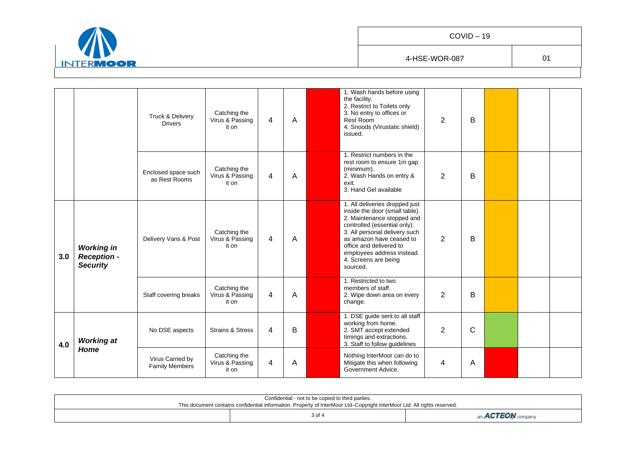

|     |                                                            | Truck & Delivery<br><b>Drivers</b>        | Catching the<br>Virus & Passing<br>it on | 4 | A | 1. Wash hands before using<br>the facility.<br>2. Restrict to Toilets only<br>3. No entry to offices or<br>Rest Room<br>4. Snoods (Virustatic shield)<br>issued.                                                                                                                         | $\overline{2}$ | B |  |  |
|-----|------------------------------------------------------------|-------------------------------------------|------------------------------------------|---|---|------------------------------------------------------------------------------------------------------------------------------------------------------------------------------------------------------------------------------------------------------------------------------------------|----------------|---|--|--|
|     |                                                            | Enclosed space such<br>as Rest Rooms      | Catching the<br>Virus & Passing<br>it on | 4 | A | 1. Restrict numbers in the<br>rest room to ensure 1m gap<br>(minimum).<br>2. Wash Hands on entry &<br>exit.<br>3. Hand Gel available                                                                                                                                                     | $\overline{2}$ | B |  |  |
| 3.0 | <b>Working in</b><br><b>Reception -</b><br><b>Security</b> | Delivery Vans & Post                      | Catching the<br>Virus & Passing<br>it on | 4 | A | 1. All deliveries dropped just<br>inside the door (small table).<br>2. Maintenance stopped and<br>controlled (essential only).<br>3. All personal delivery such<br>as amazon have ceased to<br>office and delivered to<br>employees address instead.<br>4. Screens are being<br>sourced. | $\overline{2}$ | B |  |  |
|     |                                                            | Staff covering breaks                     | Catching the<br>Virus & Passing<br>it on | 4 | A | 1. Restricted to two<br>members of staff.<br>2. Wipe down area on every<br>change.                                                                                                                                                                                                       | $\overline{2}$ | B |  |  |
| 4.0 | <b>Working at</b>                                          | No DSE aspects                            | <b>Strains &amp; Stress</b>              | 4 | B | 1. DSE guide sent to all staff<br>working from home.<br>2. SMT accept extended<br>timings and extractions.<br>3. Staff to follow guidelines                                                                                                                                              | $\overline{2}$ | C |  |  |
|     | Home                                                       | Virus Carried by<br><b>Family Members</b> | Catching the<br>Virus & Passing<br>it on | 4 | A | Nothing InterMoor can do to<br>Mitigate this when following<br>Government Advice.                                                                                                                                                                                                        | 4              | Α |  |  |

| Confidential - not to be copied to third parties.                                                                        |        |                          |  |  |  |  |  |  |
|--------------------------------------------------------------------------------------------------------------------------|--------|--------------------------|--|--|--|--|--|--|
| This document contains confidential information. Property of InterMoor Ltd-Copyright InterMoor Ltd. All rights reserved. |        |                          |  |  |  |  |  |  |
|                                                                                                                          | 3 of 4 | an <b>ACTEON</b> company |  |  |  |  |  |  |